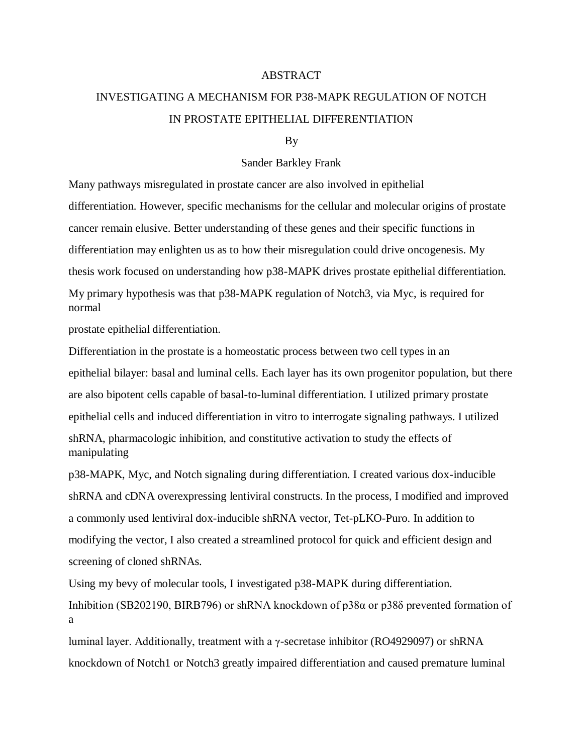#### ABSTRACT

# INVESTIGATING A MECHANISM FOR P38-MAPK REGULATION OF NOTCH IN PROSTATE EPITHELIAL DIFFERENTIATION

## By

## Sander Barkley Frank

Many pathways misregulated in prostate cancer are also involved in epithelial differentiation. However, specific mechanisms for the cellular and molecular origins of prostate cancer remain elusive. Better understanding of these genes and their specific functions in differentiation may enlighten us as to how their misregulation could drive oncogenesis. My thesis work focused on understanding how p38-MAPK drives prostate epithelial differentiation. My primary hypothesis was that p38-MAPK regulation of Notch3, via Myc, is required for normal

prostate epithelial differentiation.

Differentiation in the prostate is a homeostatic process between two cell types in an epithelial bilayer: basal and luminal cells. Each layer has its own progenitor population, but there are also bipotent cells capable of basal-to-luminal differentiation. I utilized primary prostate epithelial cells and induced differentiation in vitro to interrogate signaling pathways. I utilized shRNA, pharmacologic inhibition, and constitutive activation to study the effects of manipulating

p38-MAPK, Myc, and Notch signaling during differentiation. I created various dox-inducible shRNA and cDNA overexpressing lentiviral constructs. In the process, I modified and improved a commonly used lentiviral dox-inducible shRNA vector, Tet-pLKO-Puro. In addition to modifying the vector, I also created a streamlined protocol for quick and efficient design and screening of cloned shRNAs.

Using my bevy of molecular tools, I investigated p38-MAPK during differentiation. Inhibition (SB202190, BIRB796) or shRNA knockdown of p38α or p38δ prevented formation of a

luminal layer. Additionally, treatment with a γ-secretase inhibitor (RO4929097) or shRNA knockdown of Notch1 or Notch3 greatly impaired differentiation and caused premature luminal